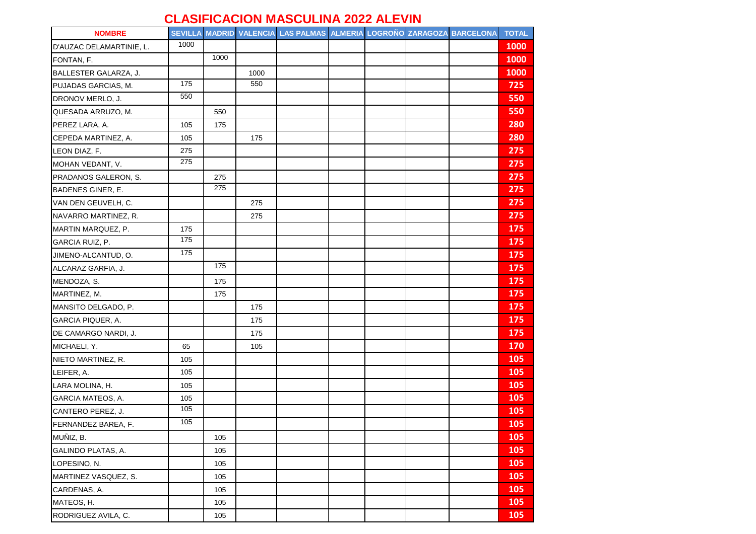## **CLASIFICACION MASCULINA 2022 ALEVIN**

| <b>NOMBRE</b>            |      |      |      | SEVILLA MADRID VALENCIA LAS PALMAS ALMERIA LOGROÑO ZARAGOZA BARCELONA |  |  | <b>TOTAL</b> |
|--------------------------|------|------|------|-----------------------------------------------------------------------|--|--|--------------|
| D'AUZAC DELAMARTINIE, L. | 1000 |      |      |                                                                       |  |  | 1000         |
| FONTAN, F.               |      | 1000 |      |                                                                       |  |  | 1000         |
| BALLESTER GALARZA, J.    |      |      | 1000 |                                                                       |  |  | 1000         |
| PUJADAS GARCIAS, M.      | 175  |      | 550  |                                                                       |  |  | 725          |
| DRONOV MERLO, J.         | 550  |      |      |                                                                       |  |  | 550          |
| QUESADA ARRUZO, M.       |      | 550  |      |                                                                       |  |  | 550          |
| PEREZ LARA, A.           | 105  | 175  |      |                                                                       |  |  | 280          |
| CEPEDA MARTINEZ, A.      | 105  |      | 175  |                                                                       |  |  | 280          |
| LEON DIAZ, F.            | 275  |      |      |                                                                       |  |  | 275          |
| MOHAN VEDANT, V.         | 275  |      |      |                                                                       |  |  | 275          |
| PRADANOS GALERON, S.     |      | 275  |      |                                                                       |  |  | 275          |
| BADENES GINER, E.        |      | 275  |      |                                                                       |  |  | 275          |
| VAN DEN GEUVELH, C.      |      |      | 275  |                                                                       |  |  | 275          |
| NAVARRO MARTINEZ, R.     |      |      | 275  |                                                                       |  |  | 275          |
| MARTIN MARQUEZ, P.       | 175  |      |      |                                                                       |  |  | 175          |
| GARCIA RUIZ, P.          | 175  |      |      |                                                                       |  |  | 175          |
| JIMENO-ALCANTUD, O.      | 175  |      |      |                                                                       |  |  | 175          |
| ALCARAZ GARFIA, J.       |      | 175  |      |                                                                       |  |  | 175          |
| MENDOZA, S.              |      | 175  |      |                                                                       |  |  | 175          |
| MARTINEZ, M.             |      | 175  |      |                                                                       |  |  | 175          |
| MANSITO DELGADO, P.      |      |      | 175  |                                                                       |  |  | 175          |
| GARCIA PIQUER, A.        |      |      | 175  |                                                                       |  |  | 175          |
| DE CAMARGO NARDI, J.     |      |      | 175  |                                                                       |  |  | 175          |
| MICHAELI, Y.             | 65   |      | 105  |                                                                       |  |  | 170          |
| NIETO MARTINEZ, R.       | 105  |      |      |                                                                       |  |  | 105          |
| LEIFER, A.               | 105  |      |      |                                                                       |  |  | 105          |
| LARA MOLINA, H.          | 105  |      |      |                                                                       |  |  | 105          |
| <b>GARCIA MATEOS, A.</b> | 105  |      |      |                                                                       |  |  | 105          |
| CANTERO PEREZ, J.        | 105  |      |      |                                                                       |  |  | 105          |
| FERNANDEZ BAREA, F.      | 105  |      |      |                                                                       |  |  | 105          |
| MUÑIZ, B.                |      | 105  |      |                                                                       |  |  | 105          |
| GALINDO PLATAS, A.       |      | 105  |      |                                                                       |  |  | 105          |
| LOPESINO, N.             |      | 105  |      |                                                                       |  |  | 105          |
| MARTINEZ VASQUEZ, S.     |      | 105  |      |                                                                       |  |  | 105          |
| CARDENAS, A.             |      | 105  |      |                                                                       |  |  | 105          |
| MATEOS, H.               |      | 105  |      |                                                                       |  |  | 105          |
| RODRIGUEZ AVILA, C.      |      | 105  |      |                                                                       |  |  | 105          |